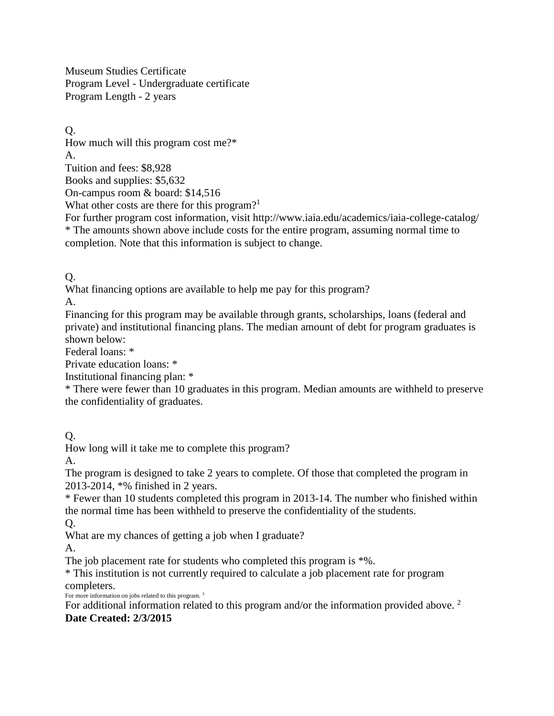Museum Studies Certificate Program Level - Undergraduate certificate Program Length - 2 years

Q. How much will this program cost me?\* A. Tuition and fees: \$8,928 Books and supplies: \$5,632 On-campus room & board: \$14,516 What other costs are there for this program?<sup>1</sup> For further program cost information, visit http://www.iaia.edu/academics/iaia-college-catalog/

\* The amounts shown above include costs for the entire program, assuming normal time to completion. Note that this information is subject to change.

Q.

What financing options are available to help me pay for this program?

A.

Financing for this program may be available through grants, scholarships, loans (federal and private) and institutional financing plans. The median amount of debt for program graduates is shown below:

Federal loans: \*

Private education loans: \*

Institutional financing plan: \*

\* There were fewer than 10 graduates in this program. Median amounts are withheld to preserve the confidentiality of graduates.

Q.

How long will it take me to complete this program?

A.

The program is designed to take 2 years to complete. Of those that completed the program in 2013-2014, \*% finished in 2 years.

\* Fewer than 10 students completed this program in 2013-14. The number who finished within the normal time has been withheld to preserve the confidentiality of the students.

 $O<sub>r</sub>$ 

What are my chances of getting a job when I graduate?

A.

The job placement rate for students who completed this program is  $*$ %.

\* This institution is not currently required to calculate a job placement rate for program completers. For more information on jobs related to this program.<sup>3</sup>

For additional information related to this program and/or the information provided above.<sup>2</sup> **Date Created: 2/3/2015**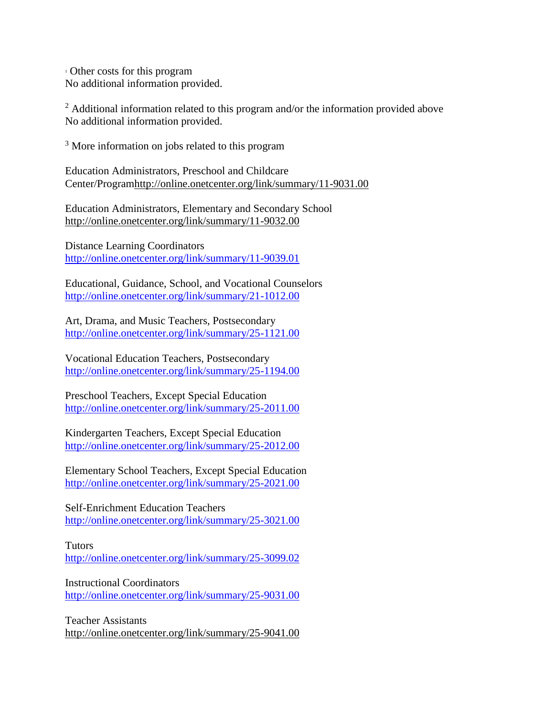<sup>1</sup> Other costs for this program No additional information provided.

<sup>2</sup> Additional information related to this program and/or the information provided above No additional information provided.

<sup>3</sup> More information on jobs related to this program

Education Administrators, Preschool and Childcare Center/Programhttp://online.onetcenter.org/link/summary/11-9031.00

Education Administrators, Elementary and Secondary School http://online.onetcenter.org/link/summary/11-9032.00

Distance Learning Coordinators <http://online.onetcenter.org/link/summary/11-9039.01>

Educational, Guidance, School, and Vocational Counselors <http://online.onetcenter.org/link/summary/21-1012.00>

Art, Drama, and Music Teachers, Postsecondary <http://online.onetcenter.org/link/summary/25-1121.00>

Vocational Education Teachers, Postsecondary <http://online.onetcenter.org/link/summary/25-1194.00>

Preschool Teachers, Except Special Education <http://online.onetcenter.org/link/summary/25-2011.00>

Kindergarten Teachers, Except Special Education <http://online.onetcenter.org/link/summary/25-2012.00>

Elementary School Teachers, Except Special Education <http://online.onetcenter.org/link/summary/25-2021.00>

Self-Enrichment Education Teachers <http://online.onetcenter.org/link/summary/25-3021.00>

Tutors <http://online.onetcenter.org/link/summary/25-3099.02>

Instructional Coordinators <http://online.onetcenter.org/link/summary/25-9031.00>

Teacher Assistants http://online.onetcenter.org/link/summary/25-9041.00